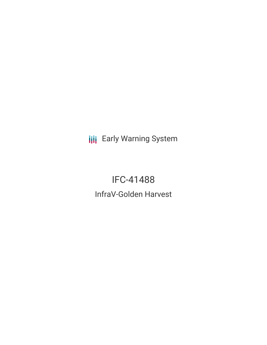**III** Early Warning System

IFC-41488 InfraV-Golden Harvest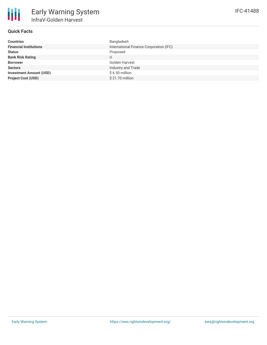## **Quick Facts**

| <b>Countries</b>               | Bangladesh                              |
|--------------------------------|-----------------------------------------|
| <b>Financial Institutions</b>  | International Finance Corporation (IFC) |
| <b>Status</b>                  | Proposed                                |
| <b>Bank Risk Rating</b>        | U                                       |
| <b>Borrower</b>                | Golden Harvest                          |
| <b>Sectors</b>                 | Industry and Trade                      |
| <b>Investment Amount (USD)</b> | \$6.50 million                          |
| <b>Project Cost (USD)</b>      | \$21.70 million                         |
|                                |                                         |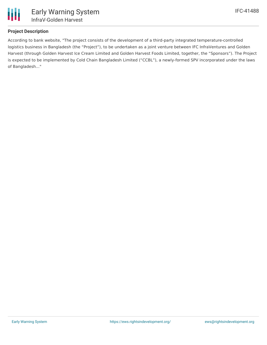

### **Project Description**

According to bank website, "The project consists of the development of a third-party integrated temperature-controlled logistics business in Bangladesh (the "Project"), to be undertaken as a joint venture between IFC InfraVentures and Golden Harvest (through Golden Harvest Ice Cream Limited and Golden Harvest Foods Limited, together, the "Sponsors"). The Project is expected to be implemented by Cold Chain Bangladesh Limited ("CCBL"), a newly-formed SPV incorporated under the laws of Bangladesh..."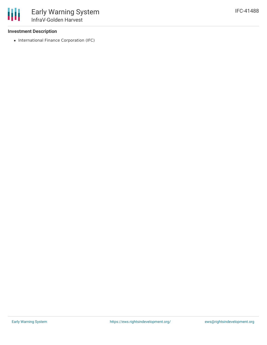### **Investment Description**

• International Finance Corporation (IFC)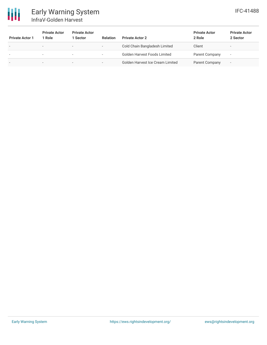

# Early Warning System InfraV-Golden Harvest

| <b>Private Actor 1</b> | <b>Private Actor</b><br>1 Role | <b>Private Actor</b><br>Sector | <b>Relation</b>          | <b>Private Actor 2</b>           | <b>Private Actor</b><br>2 Role | <b>Private Actor</b><br>2 Sector |
|------------------------|--------------------------------|--------------------------------|--------------------------|----------------------------------|--------------------------------|----------------------------------|
|                        | $\overline{\phantom{a}}$       | $\overline{\phantom{a}}$       | $\overline{\phantom{a}}$ | Cold Chain Bangladesh Limited    | Client                         |                                  |
|                        | $\overline{\phantom{0}}$       | $\overline{\phantom{a}}$       | $\overline{\phantom{0}}$ | Golden Harvest Foods Limited     | Parent Company                 | $\overline{\phantom{0}}$         |
|                        | ۰                              | $\overline{\phantom{a}}$       |                          | Golden Harvest Ice Cream Limited | Parent Company                 | $\overline{\phantom{a}}$         |